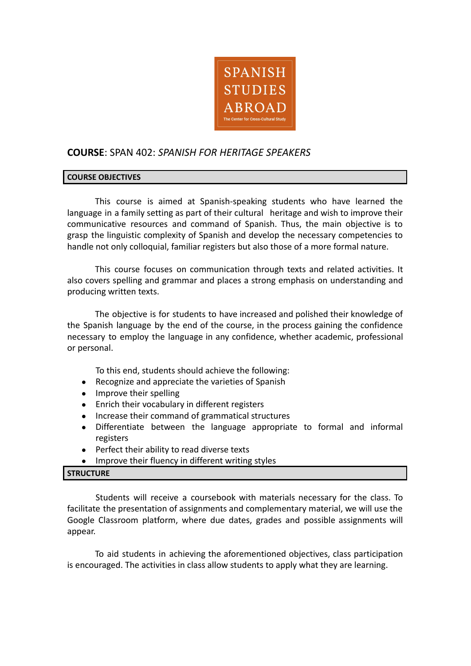

# **COURSE**: SPAN 402: *SPANISH FOR HERITAGE SPEAKERS*

#### **COURSE OBJECTIVES**

This course is aimed at Spanish-speaking students who have learned the language in a family setting as part of their cultural heritage and wish to improve their communicative resources and command of Spanish. Thus, the main objective is to grasp the linguistic complexity of Spanish and develop the necessary competencies to handle not only colloquial, familiar registers but also those of a more formal nature.

This course focuses on communication through texts and related activities. It also covers spelling and grammar and places a strong emphasis on understanding and producing written texts.

The objective is for students to have increased and polished their knowledge of the Spanish language by the end of the course, in the process gaining the confidence necessary to employ the language in any confidence, whether academic, professional or personal.

To this end, students should achieve the following:

- Recognize and appreciate the varieties of Spanish
- Improve their spelling
- Enrich their vocabulary in different registers
- Increase their command of grammatical structures
- Differentiate between the language appropriate to formal and informal registers
- Perfect their ability to read diverse texts
- Improve their fluency in different writing styles

# **STRUCTURE**

Students will receive a coursebook with materials necessary for the class. To facilitate the presentation of assignments and complementary material, we will use the Google Classroom platform, where due dates, grades and possible assignments will appear.

To aid students in achieving the aforementioned objectives, class participation is encouraged. The activities in class allow students to apply what they are learning.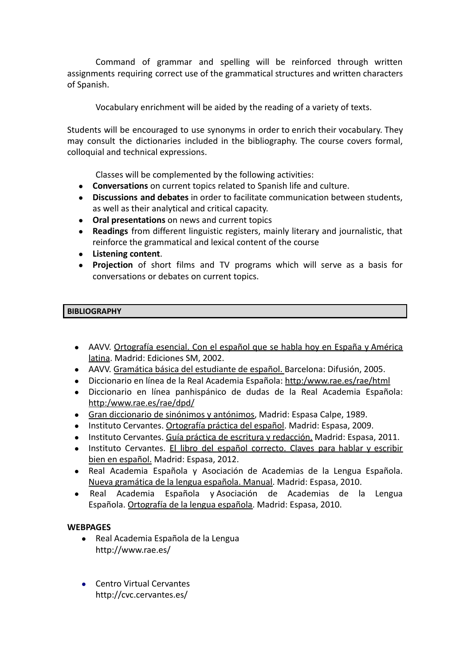Command of grammar and spelling will be reinforced through written assignments requiring correct use of the grammatical structures and written characters of Spanish.

Vocabulary enrichment will be aided by the reading of a variety of texts.

Students will be encouraged to use synonyms in order to enrich their vocabulary. They may consult the dictionaries included in the bibliography. The course covers formal, colloquial and technical expressions.

Classes will be complemented by the following activities:

- **● Conversations** on current topics related to Spanish life and culture.
- **● Discussions and debates** in order to facilitate communication between students, as well as their analytical and critical capacity.
- **● Oral presentations** on news and current topics
- **● Readings** from different linguistic registers, mainly literary and journalistic, that reinforce the grammatical and lexical content of the course
- **● Listening content**.
- **● Projection** of short films and TV programs which will serve as a basis for conversations or debates on current topics.

# **BIBLIOGRAPHY**

- **●** AAVV. Ortografía esencial. Con el español que se habla hoy en España y América latina. Madrid: Ediciones SM, 2002.
- **●** AAVV. Gramática básica del estudiante de español. Barcelona: Difusión, 2005.
- **●** Diccionario en línea de la Real Academia Española: http:/www.rae.es/rae/html
- **●** Diccionario en línea panhispánico de dudas de la Real Academia Española: http:/www.rae.es/rae/dpd/
- **●** Gran diccionario de sinónimos y antónimos, Madrid: Espasa Calpe, 1989.
- **●** Instituto Cervantes. Ortografía práctica del español. Madrid: Espasa, 2009.
- **●** Instituto Cervantes. Guía práctica de escritura y redacción. Madrid: Espasa, 2011.
- **●** Instituto Cervantes. El libro del español correcto. Claves para hablar y escribir bien en español. Madrid: Espasa, 2012.
- **●** Real Academia Española y Asociación de Academias de la Lengua Española. Nueva gramática de la lengua española. Manual. Madrid: Espasa, 2010.
- **●** Real Academia Española y Asociación de Academias de la Lengua Española. Ortografía de la lengua española. Madrid: Espasa, 2010.

# **WEBPAGES**

- Real Academia Española de la Lengua http://www.rae.es/
- Centro Virtual Cervantes http://cvc.cervantes.es/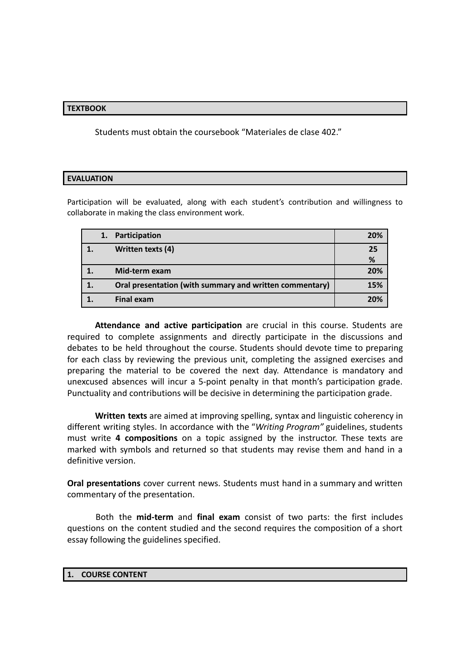### **TEXTBOOK**

Students must obtain the coursebook "Materiales de clase 402."

#### **EVALUATION**

Participation will be evaluated, along with each student's contribution and willingness to collaborate in making the class environment work.

|  | Participation                                           | 20% |
|--|---------------------------------------------------------|-----|
|  | Written texts (4)                                       | 25  |
|  |                                                         | %   |
|  | Mid-term exam                                           | 20% |
|  | Oral presentation (with summary and written commentary) | 15% |
|  | <b>Final exam</b>                                       | 20% |

**Attendance and active participation** are crucial in this course. Students are required to complete assignments and directly participate in the discussions and debates to be held throughout the course. Students should devote time to preparing for each class by reviewing the previous unit, completing the assigned exercises and preparing the material to be covered the next day. Attendance is mandatory and unexcused absences will incur a 5-point penalty in that month's participation grade. Punctuality and contributions will be decisive in determining the participation grade.

**Written texts** are aimed at improving spelling, syntax and linguistic coherency in different writing styles. In accordance with the "*Writing Program"* guidelines, students must write **4 compositions** on a topic assigned by the instructor. These texts are marked with symbols and returned so that students may revise them and hand in a definitive version.

**Oral presentations** cover current news. Students must hand in a summary and written commentary of the presentation.

Both the **mid-term** and **final exam** consist of two parts: the first includes questions on the content studied and the second requires the composition of a short essay following the guidelines specified.

#### **1. COURSE CONTENT**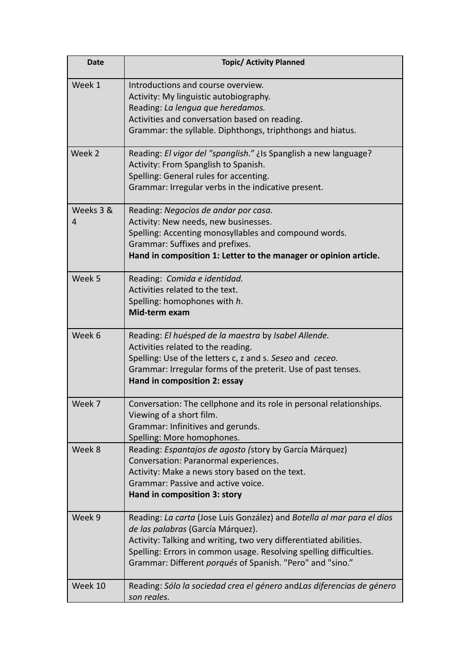| <b>Date</b>    | <b>Topic/ Activity Planned</b>                                                                                                                                                                                                                                                                                      |
|----------------|---------------------------------------------------------------------------------------------------------------------------------------------------------------------------------------------------------------------------------------------------------------------------------------------------------------------|
| Week 1         | Introductions and course overview.<br>Activity: My linguistic autobiography.<br>Reading: La lengua que heredamos.<br>Activities and conversation based on reading.<br>Grammar: the syllable. Diphthongs, triphthongs and hiatus.                                                                                    |
| Week 2         | Reading: El vigor del "spanglish." ¿Is Spanglish a new language?<br>Activity: From Spanglish to Spanish.<br>Spelling: General rules for accenting.<br>Grammar: Irregular verbs in the indicative present.                                                                                                           |
| Weeks 3 &<br>4 | Reading: Negocios de andar por casa.<br>Activity: New needs, new businesses.<br>Spelling: Accenting monosyllables and compound words.<br>Grammar: Suffixes and prefixes.<br>Hand in composition 1: Letter to the manager or opinion article.                                                                        |
| Week 5         | Reading: Comida e identidad.<br>Activities related to the text.<br>Spelling: homophones with h.<br>Mid-term exam                                                                                                                                                                                                    |
| Week 6         | Reading: El huésped de la maestra by Isabel Allende.<br>Activities related to the reading.<br>Spelling: Use of the letters c, z and s. Seseo and ceceo.<br>Grammar: Irregular forms of the preterit. Use of past tenses.<br>Hand in composition 2: essay                                                            |
| Week 7         | Conversation: The cellphone and its role in personal relationships.<br>Viewing of a short film.<br>Grammar: Infinitives and gerunds.<br>Spelling: More homophones.                                                                                                                                                  |
| Week 8         | Reading: Espantajos de agosto (story by García Márquez)<br>Conversation: Paranormal experiences.<br>Activity: Make a news story based on the text.<br>Grammar: Passive and active voice.<br>Hand in composition 3: story                                                                                            |
| Week 9         | Reading: La carta (Jose Luis González) and Botella al mar para el dios<br>de las palabras (García Márquez).<br>Activity: Talking and writing, two very differentiated abilities.<br>Spelling: Errors in common usage. Resolving spelling difficulties.<br>Grammar: Different porqués of Spanish. "Pero" and "sino." |
| Week 10        | Reading: Sólo la sociedad crea el género andLas diferencias de género<br>son reales.                                                                                                                                                                                                                                |